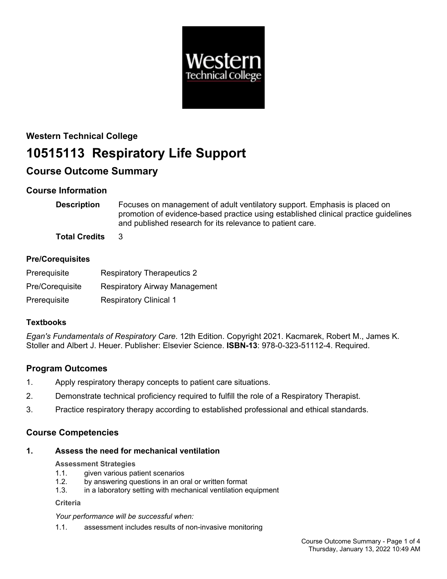

# **Western Technical College 10515113 Respiratory Life Support**

# **Course Outcome Summary**

# **Course Information**

**Description** Focuses on management of adult ventilatory support. Emphasis is placed on promotion of evidence-based practice using established clinical practice guidelines and published research for its relevance to patient care.

**Total Credits** 3

# **Pre/Corequisites**

| Prerequisite    | <b>Respiratory Therapeutics 2</b>    |
|-----------------|--------------------------------------|
| Pre/Coreguisite | <b>Respiratory Airway Management</b> |
| Prerequisite    | <b>Respiratory Clinical 1</b>        |

# **Textbooks**

*Egan's Fundamentals of Respiratory Care*. 12th Edition. Copyright 2021. Kacmarek, Robert M., James K. Stoller and Albert J. Heuer. Publisher: Elsevier Science. **ISBN-13**: 978-0-323-51112-4. Required.

# **Program Outcomes**

- 1. Apply respiratory therapy concepts to patient care situations.
- 2. Demonstrate technical proficiency required to fulfill the role of a Respiratory Therapist.
- 3. Practice respiratory therapy according to established professional and ethical standards.

# **Course Competencies**

# **1. Assess the need for mechanical ventilation**

# **Assessment Strategies**

- 1.1. given various patient scenarios
- 1.2. by answering questions in an oral or written format
- 1.3. in a laboratory setting with mechanical ventilation equipment

**Criteria**

*Your performance will be successful when:*

1.1. assessment includes results of non-invasive monitoring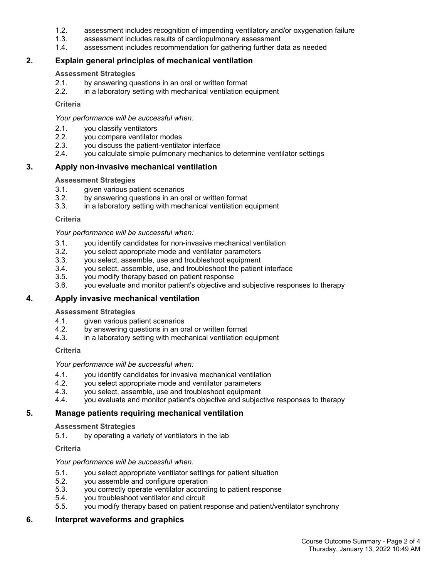- 1.2. assessment includes recognition of impending ventilatory and/or oxygenation failure
- 1.3. assessment includes results of cardiopulmonary assessment
- 1.4. assessment includes recommendation for gathering further data as needed

# **2. Explain general principles of mechanical ventilation**

#### **Assessment Strategies**

- 2.1. by answering questions in an oral or written format
- 2.2. in a laboratory setting with mechanical ventilation equipment

#### **Criteria**

*Your performance will be successful when:*

- 2.1. you classify ventilators
- 2.2. you compare ventilator modes
- 2.3. you discuss the patient-ventilator interface
- 2.4. you calculate simple pulmonary mechanics to determine ventilator settings

# **3. Apply non-invasive mechanical ventilation**

#### **Assessment Strategies**

- 3.1. given various patient scenarios
- 3.2. by answering questions in an oral or written format
- 3.3. in a laboratory setting with mechanical ventilation equipment

#### **Criteria**

*Your performance will be successful when:*

- 3.1. you identify candidates for non-invasive mechanical ventilation
- 3.2. you select appropriate mode and ventilator parameters
- 3.3. you select, assemble, use and troubleshoot equipment
- 3.4. you select, assemble, use, and troubleshoot the patient interface
- 3.5. you modify therapy based on patient response
- 3.6. you evaluate and monitor patient's objective and subjective responses to therapy

# **4. Apply invasive mechanical ventilation**

# **Assessment Strategies**

- 4.1. given various patient scenarios
- 4.2. by answering questions in an oral or written format
- 4.3. in a laboratory setting with mechanical ventilation equipment

#### **Criteria**

# *Your performance will be successful when:*

- 4.1. you identify candidates for invasive mechanical ventilation
- 4.2. you select appropriate mode and ventilator parameters
- 4.3. you select, assemble, use and troubleshoot equipment
- 4.4. you evaluate and monitor patient's objective and subjective responses to therapy

# **5. Manage patients requiring mechanical ventilation**

#### **Assessment Strategies**

5.1. by operating a variety of ventilators in the lab

# **Criteria**

# *Your performance will be successful when:*

- 5.1. you select appropriate ventilator settings for patient situation
- 5.2. you assemble and configure operation
- 5.3. you correctly operate ventilator according to patient response
- 5.4. you troubleshoot ventilator and circuit
- 5.5. you modify therapy based on patient response and patient/ventilator synchrony

# **6. Interpret waveforms and graphics**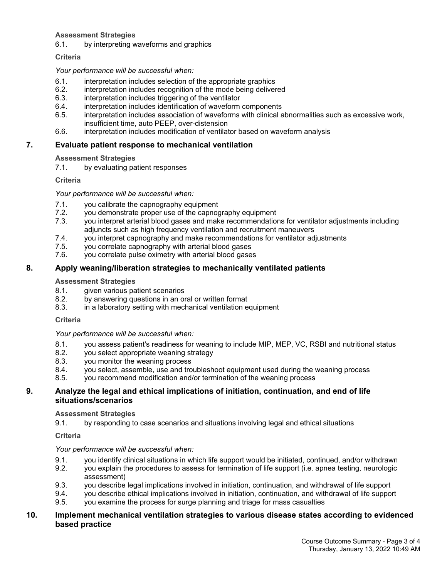# **Assessment Strategies**

6.1. by interpreting waveforms and graphics

# **Criteria**

#### *Your performance will be successful when:*

- 6.1. interpretation includes selection of the appropriate graphics
- 6.2. interpretation includes recognition of the mode being delivered
- 6.3. interpretation includes triggering of the ventilator
- 6.4. interpretation includes identification of waveform components
- 6.5. interpretation includes association of waveforms with clinical abnormalities such as excessive work, insufficient time, auto PEEP, over-distension
- 6.6. interpretation includes modification of ventilator based on waveform analysis

# **7. Evaluate patient response to mechanical ventilation**

# **Assessment Strategies**

7.1. by evaluating patient responses

#### **Criteria**

# *Your performance will be successful when:*

- 7.1. you calibrate the capnography equipment
- 7.2. you demonstrate proper use of the capnography equipment
- 7.3. you interpret arterial blood gases and make recommendations for ventilator adjustments including adjuncts such as high frequency ventilation and recruitment maneuvers
- 7.4. you interpret capnography and make recommendations for ventilator adjustments<br>7.5. vou correlate capnography with arterial blood gases
- 7.5. you correlate capnography with arterial blood gases
- 7.6. you correlate pulse oximetry with arterial blood gases

# **8. Apply weaning/liberation strategies to mechanically ventilated patients**

#### **Assessment Strategies**

- 8.1. given various patient scenarios
- 8.2. by answering questions in an oral or written format
- 8.3. in a laboratory setting with mechanical ventilation equipment

#### **Criteria**

#### *Your performance will be successful when:*

- 8.1. you assess patient's readiness for weaning to include MIP, MEP, VC, RSBI and nutritional status
- 8.2. you select appropriate weaning strategy
- 8.3. you monitor the weaning process
- 8.4. you select, assemble, use and troubleshoot equipment used during the weaning process
- 8.5. you recommend modification and/or termination of the weaning process

# **9. Analyze the legal and ethical implications of initiation, continuation, and end of life situations/scenarios**

# **Assessment Strategies**

9.1. by responding to case scenarios and situations involving legal and ethical situations

**Criteria**

#### *Your performance will be successful when:*

- 9.1. you identify clinical situations in which life support would be initiated, continued, and/or withdrawn
- 9.2. you explain the procedures to assess for termination of life support (i.e. apnea testing, neurologic assessment)
- 9.3. you describe legal implications involved in initiation, continuation, and withdrawal of life support
- 9.4. you describe ethical implications involved in initiation, continuation, and withdrawal of life support
- 9.5. you examine the process for surge planning and triage for mass casualties

# **10. Implement mechanical ventilation strategies to various disease states according to evidenced based practice**